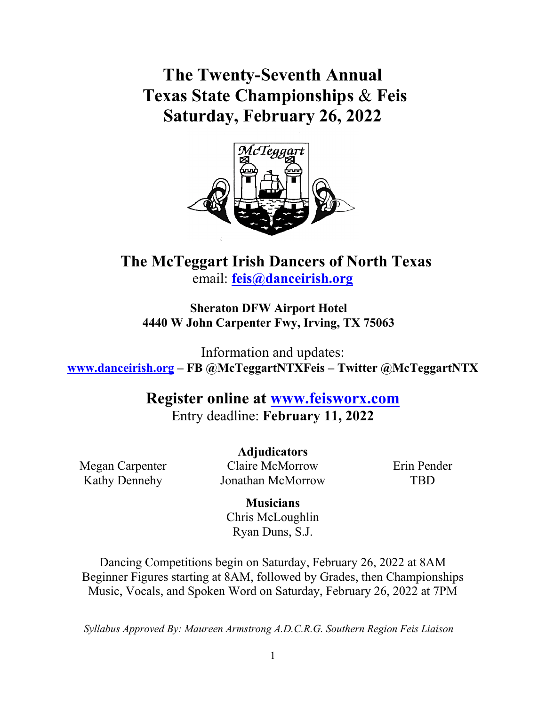**The Twenty-Seventh Annual Texas State Championships** & **Feis Saturday, February 26, 2022**



# **The McTeggart Irish Dancers of North Texas** email: **[feis@danceirish.org](mailto:feis@danceirish.org)**

**Sheraton DFW Airport Hotel 4440 W John Carpenter Fwy, Irving, TX 75063**

Information and updates: **[www.danceirish.org](http://www.danceirish.org/) – FB @McTeggartNTXFeis – Twitter @McTeggartNTX**

> **Register online at [www.feisworx.com](http://www.feisworx.com/)** Entry deadline: **February 11, 2022**

Megan Carpenter Kathy Dennehy

**Adjudicators** Claire McMorrow Jonathan McMorrow

Erin Pender TBD

**Musicians** Chris McLoughlin Ryan Duns, S.J.

Dancing Competitions begin on Saturday, February 26, 2022 at 8AM Beginner Figures starting at 8AM, followed by Grades, then Championships Music, Vocals, and Spoken Word on Saturday, February 26, 2022 at 7PM

*Syllabus Approved By: Maureen Armstrong A.D.C.R.G. Southern Region Feis Liaison*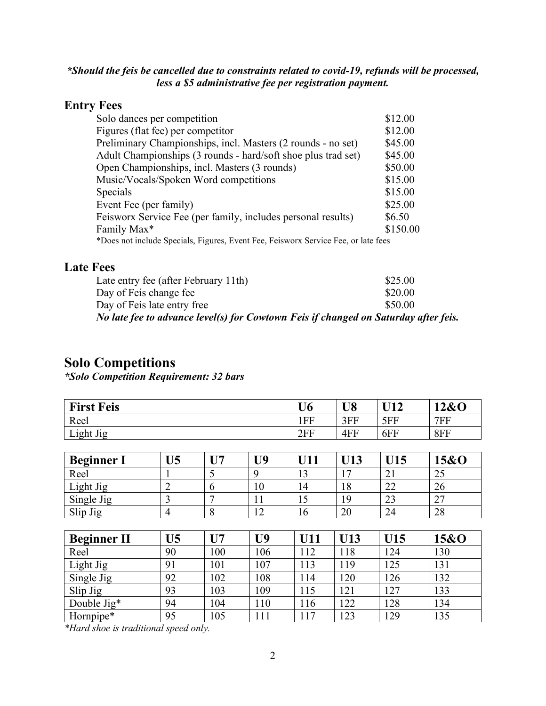#### *\*Should the feis be cancelled due to constraints related to covid-19, refunds will be processed, less a \$5 administrative fee per registration payment.*

#### **Entry Fees**

| Solo dances per competition                                                        | \$12.00  |
|------------------------------------------------------------------------------------|----------|
| Figures (flat fee) per competitor                                                  | \$12.00  |
| Preliminary Championships, incl. Masters (2 rounds - no set)                       | \$45.00  |
| Adult Championships (3 rounds - hard/soft shoe plus trad set)                      | \$45.00  |
| Open Championships, incl. Masters (3 rounds)                                       | \$50.00  |
| Music/Vocals/Spoken Word competitions                                              | \$15.00  |
| Specials                                                                           | \$15.00  |
| Event Fee (per family)                                                             | \$25.00  |
| Feisworx Service Fee (per family, includes personal results)                       | \$6.50   |
| Family Max*                                                                        | \$150.00 |
| *Does not include Specials, Figures, Event Fee, Feisworx Service Fee, or late fees |          |

#### **Late Fees**

| Late entry fee (after February 11th)                                                | \$25.00 |
|-------------------------------------------------------------------------------------|---------|
| Day of Feis change fee                                                              | \$20.00 |
| Day of Feis late entry free                                                         | \$50.00 |
| No late fee to advance level(s) for Cowtown Feis if changed on Saturday after feis. |         |

### **Solo Competitions**

*\*Solo Competition Requirement: 32 bars*

| <b>First Feis</b>  |                |                |                | U <sub>6</sub> | U <sub>8</sub> | U12 | 12&O |  |  |
|--------------------|----------------|----------------|----------------|----------------|----------------|-----|------|--|--|
| Reel               |                |                | 1FF            | 3FF            | 5FF            | 7FF |      |  |  |
| Light Jig          | 2FF            | 4FF            | 6FF            | 8FF            |                |     |      |  |  |
|                    |                |                |                |                |                |     |      |  |  |
| <b>Beginner I</b>  | U <sub>5</sub> | U <sub>7</sub> | U <sub>9</sub> | U11            | U13            | U15 | 15&0 |  |  |
| Reel               | 1              | 5              | 9              | 13             | 17             | 21  | 25   |  |  |
| Light Jig          | $\overline{2}$ | 6              | 10             | 14             | 18             | 22  | 26   |  |  |
| Single Jig         | 3              | 7              | 11             | 15             | 19             | 23  | 27   |  |  |
| Slip Jig           | $\overline{4}$ | 8              | 12             | 16             | 20             | 24  | 28   |  |  |
|                    |                |                |                |                |                |     |      |  |  |
| <b>Beginner II</b> | U <sub>5</sub> | $U$ 7          | U <sub>9</sub> | U11            | U13            | U15 | 15&O |  |  |
| Reel               | 90             | 100            | 106            | 112            | 118            | 124 | 130  |  |  |
| Light Jig          | 91             | 101            | 107            | 113            | 119            | 125 | 131  |  |  |
| Single Jig         | 92             | 102            | 108            | 114            | 120            | 126 | 132  |  |  |
| Slip Jig           | 93             | 103            | 109            | 115            | 121            | 127 | 133  |  |  |
| Double Jig*        | 94             | 104            | 110            | 116            | 122            | 128 | 134  |  |  |
| Hornpipe*          | 95             | 105            | 111            | 117            | 123            | 129 | 135  |  |  |

*\*Hard shoe is traditional speed only.*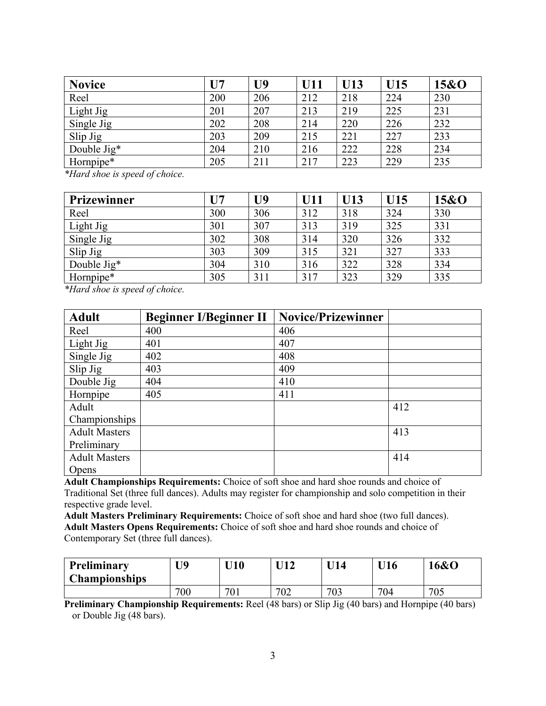| <b>Novice</b> | U <sub>7</sub> | U9  | U11 | U13 | U15 | 15&0 |
|---------------|----------------|-----|-----|-----|-----|------|
| Reel          | 200            | 206 | 212 | 218 | 224 | 230  |
| Light Jig     | 201            | 207 | 213 | 219 | 225 | 231  |
| Single Jig    | 202            | 208 | 214 | 220 | 226 | 232  |
| Slip Jig      | 203            | 209 | 215 | 221 | 227 | 233  |
| Double Jig*   | 204            | 210 | 216 | 222 | 228 | 234  |
| Hornpipe*     | 205            | 211 | 217 | 223 | 229 | 235  |

*\*Hard shoe is speed of choice.*

| Prizewinner          | U <sub>7</sub> | U9  | <b>U11</b> | U13 | U15 | 15&0 |
|----------------------|----------------|-----|------------|-----|-----|------|
| Reel                 | 300            | 306 | 312        | 318 | 324 | 330  |
| Light Jig            | 301            | 307 | 313        | 319 | 325 | 331  |
| Single Jig           | 302            | 308 | 314        | 320 | 326 | 332  |
| Slip Jig             | 303            | 309 | 315        | 321 | 327 | 333  |
| Double $\text{Jig*}$ | 304            | 310 | 316        | 322 | 328 | 334  |
| Hornpipe*            | 305            | 311 | 317        | 323 | 329 | 335  |

*\*Hard shoe is speed of choice.*

| <b>Adult</b>         | <b>Beginner I/Beginner II</b> | <b>Novice/Prizewinner</b> |     |
|----------------------|-------------------------------|---------------------------|-----|
| Reel                 | 400                           | 406                       |     |
| Light Jig            | 401                           | 407                       |     |
| Single Jig           | 402                           | 408                       |     |
| Slip Jig             | 403                           | 409                       |     |
| Double Jig           | 404                           | 410                       |     |
| Hornpipe             | 405                           | 411                       |     |
| Adult                |                               |                           | 412 |
| Championships        |                               |                           |     |
| <b>Adult Masters</b> |                               |                           | 413 |
| Preliminary          |                               |                           |     |
| <b>Adult Masters</b> |                               |                           | 414 |
| Opens                |                               |                           |     |

**Adult Championships Requirements:** Choice of soft shoe and hard shoe rounds and choice of Traditional Set (three full dances). Adults may register for championship and solo competition in their respective grade level.

**Adult Masters Preliminary Requirements:** Choice of soft shoe and hard shoe (two full dances). **Adult Masters Opens Requirements:** Choice of soft shoe and hard shoe rounds and choice of Contemporary Set (three full dances).

| Preliminary<br><b>Championships</b> | U9  | $^{\prime}$ I10 $^-$ | TI1 1 | $\Pi$ 14 | $\Pi$ 6 | <b>6&amp;O</b> |
|-------------------------------------|-----|----------------------|-------|----------|---------|----------------|
|                                     | 700 | ٦Λ.<br>'Ul           | 702   | 703      | 704     | 705            |

**Preliminary Championship Requirements:** Reel (48 bars) or Slip Jig (40 bars) and Hornpipe (40 bars) or Double Jig (48 bars).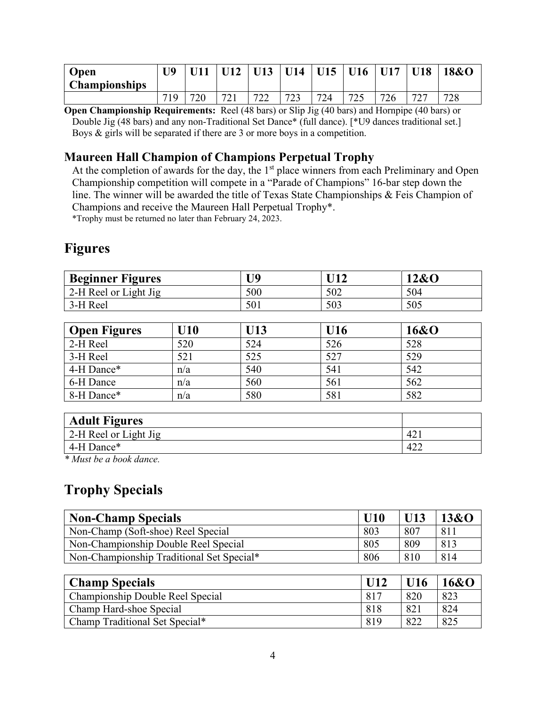| Open<br><b>Championships</b> | <b>TIQ</b> |     |           | U13 | U14        | U15 | U16        | U17 | <b>U18</b>                    | 18&0 |
|------------------------------|------------|-----|-----------|-----|------------|-----|------------|-----|-------------------------------|------|
|                              | 71Q        | 720 | 721<br>∠⊥ | 722 | 723<br>ر ے | 724 | 725<br>ر 2 | 726 | $\overline{\phantom{a}}$<br>∽ | 728  |

**Open Championship Requirements:** Reel (48 bars) or Slip Jig (40 bars) and Hornpipe (40 bars) or Double Jig (48 bars) and any non-Traditional Set Dance\* (full dance). [\*U9 dances traditional set.] Boys & girls will be separated if there are 3 or more boys in a competition.

#### **Maureen Hall Champion of Champions Perpetual Trophy**

At the completion of awards for the day, the  $1<sup>st</sup>$  place winners from each Preliminary and Open Championship competition will compete in a "Parade of Champions" 16-bar step down the line. The winner will be awarded the title of Texas State Championships & Feis Champion of Champions and receive the Maureen Hall Perpetual Trophy\*.

\*Trophy must be returned no later than February 24, 2023.

## **Figures**

| <b>Beginner Figures</b> | U9  |     | 12&O |
|-------------------------|-----|-----|------|
| 2-H Reel or Light Jig   | 500 | 502 | 504  |
| 3-H Reel                | 501 | 503 | 505  |

| <b>Open Figures</b> | U10 | <b>U13</b> | U16 | 16&0 |
|---------------------|-----|------------|-----|------|
| 2-H Reel            | 520 | 524        | 526 | 528  |
| 3-H Reel            | 521 | 525        | 527 | 529  |
| 4-H Dance*          | n/a | 540        | 541 | 542  |
| 6-H Dance           | n/a | 560        | 561 | 562  |
| 8-H Dance*          | n/a | 580        | 581 | 582  |

| <b>Adult Figures</b>          |     |
|-------------------------------|-----|
| $\vert$ 2-H Reel or Light Jig | 42. |
| 4-H Dance*                    | 422 |

*\* Must be a book dance.*

### **Trophy Specials**

| <b>Non-Champ Specials</b>                 | U10 | U13 | 13&O |
|-------------------------------------------|-----|-----|------|
| Non-Champ (Soft-shoe) Reel Special        | 803 | 807 | 811  |
| Non-Championship Double Reel Special      | 805 | 809 | 813  |
| Non-Championship Traditional Set Special* | 806 | 810 | 814  |
|                                           |     |     |      |

| <b>Champ Specials</b>            |           | U16 | 16&0 |
|----------------------------------|-----------|-----|------|
| Championship Double Reel Special | $-81^{-}$ | 820 | 823  |
| Champ Hard-shoe Special          | -818      | 82  | 824  |
| Champ Traditional Set Special*   | 819       | 822 | 825  |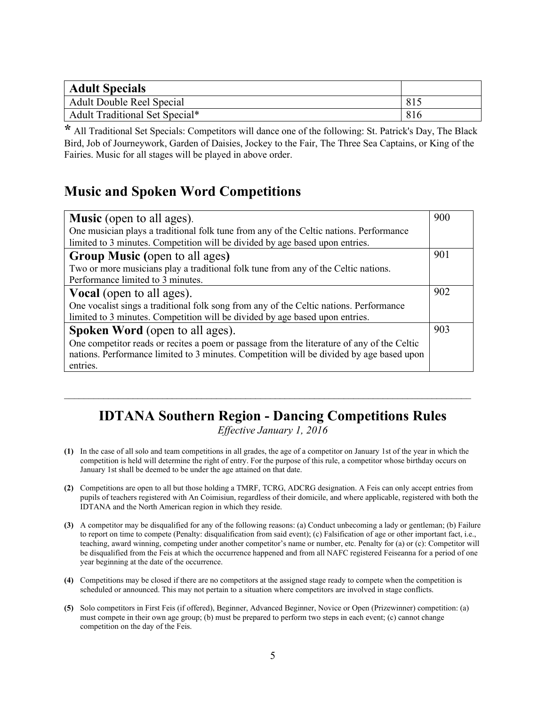| <b>Adult Specials</b>          |     |
|--------------------------------|-----|
| Adult Double Reel Special      | 815 |
| Adult Traditional Set Special* | 816 |

**\*** All Traditional Set Specials: Competitors will dance one of the following: St. Patrick's Day, The Black Bird, Job of Journeywork, Garden of Daisies, Jockey to the Fair, The Three Sea Captains, or King of the Fairies. Music for all stages will be played in above order.

### **Music and Spoken Word Competitions**

| <b>Music</b> (open to all ages).                                                           | 900 |
|--------------------------------------------------------------------------------------------|-----|
| One musician plays a traditional folk tune from any of the Celtic nations. Performance     |     |
| limited to 3 minutes. Competition will be divided by age based upon entries.               |     |
| <b>Group Music (open to all ages)</b>                                                      | 901 |
| Two or more musicians play a traditional folk tune from any of the Celtic nations.         |     |
| Performance limited to 3 minutes.                                                          |     |
| <b>Vocal</b> (open to all ages).                                                           | 902 |
| One vocalist sings a traditional folk song from any of the Celtic nations. Performance     |     |
| limited to 3 minutes. Competition will be divided by age based upon entries.               |     |
| <b>Spoken Word</b> (open to all ages).                                                     | 903 |
| One competitor reads or recites a poem or passage from the literature of any of the Celtic |     |
| nations. Performance limited to 3 minutes. Competition will be divided by age based upon   |     |
| entries.                                                                                   |     |

# **IDTANA Southern Region - Dancing Competitions Rules**

 $\mathcal{L}_\text{max}$  , and the contribution of the contribution of the contribution of the contribution of the contribution of the contribution of the contribution of the contribution of the contribution of the contribution of t

*Effective January 1, 2016*

- **(1)** In the case of all solo and team competitions in all grades, the age of a competitor on January 1st of the year in which the competition is held will determine the right of entry. For the purpose of this rule, a competitor whose birthday occurs on January 1st shall be deemed to be under the age attained on that date.
- **(2)** Competitions are open to all but those holding a TMRF, TCRG, ADCRG designation. A Feis can only accept entries from pupils of teachers registered with An Coimisiun, regardless of their domicile, and where applicable, registered with both the IDTANA and the North American region in which they reside.
- **(3)** A competitor may be disqualified for any of the following reasons: (a) Conduct unbecoming a lady or gentleman; (b) Failure to report on time to compete (Penalty: disqualification from said event); (c) Falsification of age or other important fact, i.e., teaching, award winning, competing under another competitor's name or number, etc. Penalty for (a) or (c): Competitor will be disqualified from the Feis at which the occurrence happened and from all NAFC registered Feiseanna for a period of one year beginning at the date of the occurrence.
- **(4)** Competitions may be closed if there are no competitors at the assigned stage ready to compete when the competition is scheduled or announced. This may not pertain to a situation where competitors are involved in stage conflicts.
- **(5)** Solo competitors in First Feis (if offered), Beginner, Advanced Beginner, Novice or Open (Prizewinner) competition: (a) must compete in their own age group; (b) must be prepared to perform two steps in each event; (c) cannot change competition on the day of the Feis.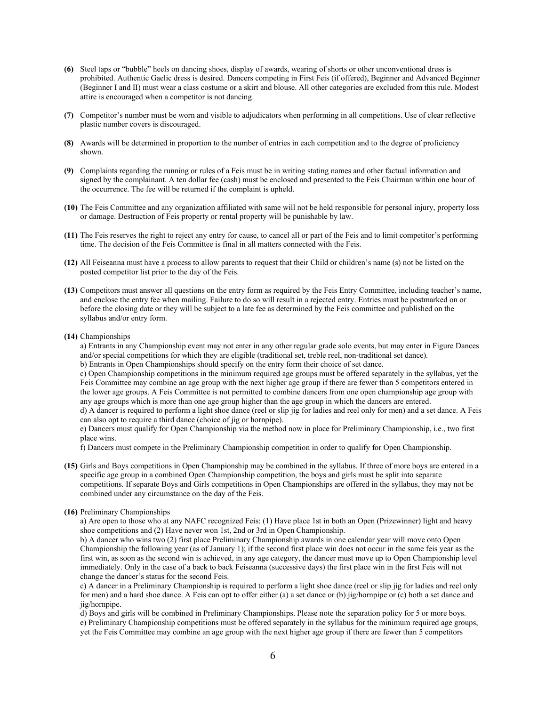- **(6)** Steel taps or "bubble" heels on dancing shoes, display of awards, wearing of shorts or other unconventional dress is prohibited. Authentic Gaelic dress is desired. Dancers competing in First Feis (if offered), Beginner and Advanced Beginner (Beginner I and II) must wear a class costume or a skirt and blouse. All other categories are excluded from this rule. Modest attire is encouraged when a competitor is not dancing.
- **(7)** Competitor's number must be worn and visible to adjudicators when performing in all competitions. Use of clear reflective plastic number covers is discouraged.
- **(8)** Awards will be determined in proportion to the number of entries in each competition and to the degree of proficiency shown.
- **(9)** Complaints regarding the running or rules of a Feis must be in writing stating names and other factual information and signed by the complainant. A ten dollar fee (cash) must be enclosed and presented to the Feis Chairman within one hour of the occurrence. The fee will be returned if the complaint is upheld.
- **(10)** The Feis Committee and any organization affiliated with same will not be held responsible for personal injury, property loss or damage. Destruction of Feis property or rental property will be punishable by law.
- **(11)** The Feis reserves the right to reject any entry for cause, to cancel all or part of the Feis and to limit competitor's performing time. The decision of the Feis Committee is final in all matters connected with the Feis.
- **(12)** All Feiseanna must have a process to allow parents to request that their Child or children's name (s) not be listed on the posted competitor list prior to the day of the Feis.
- **(13)** Competitors must answer all questions on the entry form as required by the Feis Entry Committee, including teacher's name, and enclose the entry fee when mailing. Failure to do so will result in a rejected entry. Entries must be postmarked on or before the closing date or they will be subject to a late fee as determined by the Feis committee and published on the syllabus and/or entry form.
- **(14)** Championships

a) Entrants in any Championship event may not enter in any other regular grade solo events, but may enter in Figure Dances and/or special competitions for which they are eligible (traditional set, treble reel, non-traditional set dance).

b) Entrants in Open Championships should specify on the entry form their choice of set dance.

c) Open Championship competitions in the minimum required age groups must be offered separately in the syllabus, yet the Feis Committee may combine an age group with the next higher age group if there are fewer than 5 competitors entered in the lower age groups. A Feis Committee is not permitted to combine dancers from one open championship age group with any age groups which is more than one age group higher than the age group in which the dancers are entered.

d) A dancer is required to perform a light shoe dance (reel or slip jig for ladies and reel only for men) and a set dance. A Feis can also opt to require a third dance (choice of jig or hornpipe).

e) Dancers must qualify for Open Championship via the method now in place for Preliminary Championship, i.e., two first place wins.

f) Dancers must compete in the Preliminary Championship competition in order to qualify for Open Championship.

- **(15)** Girls and Boys competitions in Open Championship may be combined in the syllabus. If three of more boys are entered in a specific age group in a combined Open Championship competition, the boys and girls must be split into separate competitions. If separate Boys and Girls competitions in Open Championships are offered in the syllabus, they may not be combined under any circumstance on the day of the Feis.
- **(16)** Preliminary Championships

a) Are open to those who at any NAFC recognized Feis: (1) Have place 1st in both an Open (Prizewinner) light and heavy shoe competitions and (2) Have never won 1st, 2nd or 3rd in Open Championship.

b) A dancer who wins two (2) first place Preliminary Championship awards in one calendar year will move onto Open Championship the following year (as of January 1); if the second first place win does not occur in the same feis year as the first win, as soon as the second win is achieved, in any age category, the dancer must move up to Open Championship level immediately. Only in the case of a back to back Feiseanna (successive days) the first place win in the first Feis will not change the dancer's status for the second Feis.

c) A dancer in a Preliminary Championship is required to perform a light shoe dance (reel or slip jig for ladies and reel only for men) and a hard shoe dance. A Feis can opt to offer either (a) a set dance or (b) jig/hornpipe or (c) both a set dance and jig/hornpipe.

d) Boys and girls will be combined in Preliminary Championships. Please note the separation policy for 5 or more boys. e) Preliminary Championship competitions must be offered separately in the syllabus for the minimum required age groups, yet the Feis Committee may combine an age group with the next higher age group if there are fewer than 5 competitors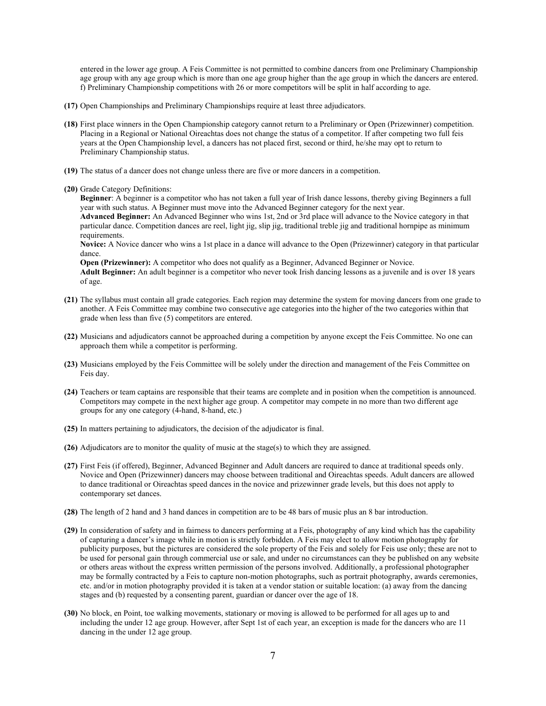entered in the lower age group. A Feis Committee is not permitted to combine dancers from one Preliminary Championship age group with any age group which is more than one age group higher than the age group in which the dancers are entered. f) Preliminary Championship competitions with 26 or more competitors will be split in half according to age.

- **(17)** Open Championships and Preliminary Championships require at least three adjudicators.
- **(18)** First place winners in the Open Championship category cannot return to a Preliminary or Open (Prizewinner) competition. Placing in a Regional or National Oireachtas does not change the status of a competitor. If after competing two full feis years at the Open Championship level, a dancers has not placed first, second or third, he/she may opt to return to Preliminary Championship status.
- **(19)** The status of a dancer does not change unless there are five or more dancers in a competition.
- **(20)** Grade Category Definitions:

**Beginner**: A beginner is a competitor who has not taken a full year of Irish dance lessons, thereby giving Beginners a full year with such status. A Beginner must move into the Advanced Beginner category for the next year. **Advanced Beginner:** An Advanced Beginner who wins 1st, 2nd or 3rd place will advance to the Novice category in that particular dance. Competition dances are reel, light jig, slip jig, traditional treble jig and traditional hornpipe as minimum requirements. **Novice:** A Novice dancer who wins a 1st place in a dance will advance to the Open (Prizewinner) category in that particular

dance. **Open (Prizewinner):** A competitor who does not qualify as a Beginner, Advanced Beginner or Novice. **Adult Beginner:** An adult beginner is a competitor who never took Irish dancing lessons as a juvenile and is over 18 years of age.

- **(21)** The syllabus must contain all grade categories. Each region may determine the system for moving dancers from one grade to another. A Feis Committee may combine two consecutive age categories into the higher of the two categories within that grade when less than five (5) competitors are entered.
- **(22)** Musicians and adjudicators cannot be approached during a competition by anyone except the Feis Committee. No one can approach them while a competitor is performing.
- **(23)** Musicians employed by the Feis Committee will be solely under the direction and management of the Feis Committee on Feis day.
- **(24)** Teachers or team captains are responsible that their teams are complete and in position when the competition is announced. Competitors may compete in the next higher age group. A competitor may compete in no more than two different age groups for any one category (4-hand, 8-hand, etc.)
- **(25)** In matters pertaining to adjudicators, the decision of the adjudicator is final.
- **(26)** Adjudicators are to monitor the quality of music at the stage(s) to which they are assigned.
- **(27)** First Feis (if offered), Beginner, Advanced Beginner and Adult dancers are required to dance at traditional speeds only. Novice and Open (Prizewinner) dancers may choose between traditional and Oireachtas speeds. Adult dancers are allowed to dance traditional or Oireachtas speed dances in the novice and prizewinner grade levels, but this does not apply to contemporary set dances.
- **(28)** The length of 2 hand and 3 hand dances in competition are to be 48 bars of music plus an 8 bar introduction.
- **(29)** In consideration of safety and in fairness to dancers performing at a Feis, photography of any kind which has the capability of capturing a dancer's image while in motion is strictly forbidden. A Feis may elect to allow motion photography for publicity purposes, but the pictures are considered the sole property of the Feis and solely for Feis use only; these are not to be used for personal gain through commercial use or sale, and under no circumstances can they be published on any website or others areas without the express written permission of the persons involved. Additionally, a professional photographer may be formally contracted by a Feis to capture non-motion photographs, such as portrait photography, awards ceremonies, etc. and/or in motion photography provided it is taken at a vendor station or suitable location: (a) away from the dancing stages and (b) requested by a consenting parent, guardian or dancer over the age of 18.
- **(30)** No block, en Point, toe walking movements, stationary or moving is allowed to be performed for all ages up to and including the under 12 age group. However, after Sept 1st of each year, an exception is made for the dancers who are 11 dancing in the under 12 age group.